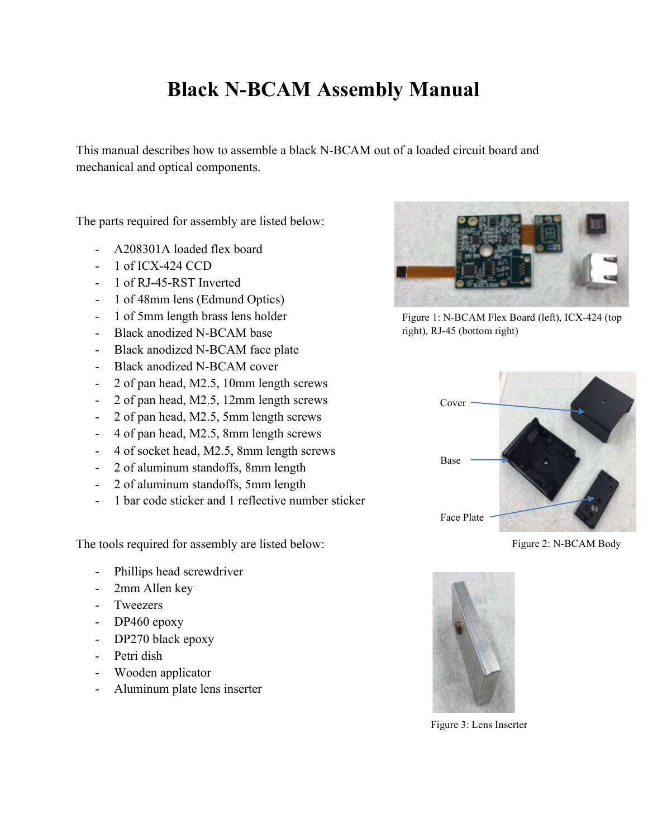## **Black N-BCAM Assembly Manual**

This manual describes how to assemble a black N-BCAM out of a loaded circuit board and mechanical and optical components.

The parts required for assembly are listed below:

- A208301A loaded flex board
- 1 of ICX-424 CCD
- 1 of RJ-45-RST Inverted
- 1 of 48mm lens (Edmund Optics)
- 1 of 5mm length brass lens holder
- Black anodized N-BCAM base
- Black anodized N-BCAM face plate
- Black anodized N-BCAM cover
- 2 of pan head, M2.5, 10mm length screws
- 2 of pan head, M2.5, 12mm length screws
- 2 of pan head, M2.5, 5mm length screws
- 4 of pan head, M2.5, 8mm length screws
- 4 of socket head, M2.5, 8mm length screws
- 2 of aluminum standoffs, 8mm length
- 2 of aluminum standoffs, 5mm length
- 1 bar code sticker and 1 reflective number sticker

The tools required for assembly are listed below:

- Phillips head screwdriver
- 2mm Allen key
- Tweezers
- DP460 epoxy
- DP270 black epoxy
- Petri dish
- Wooden applicator
- Aluminum plate lens inserter



Figure 1: N-BCAM Flex Board (left), ICX-424 (top right), RJ-45 (bottom right)



Figure 2: N-BCAM Body



Figure 3: Lens Inserter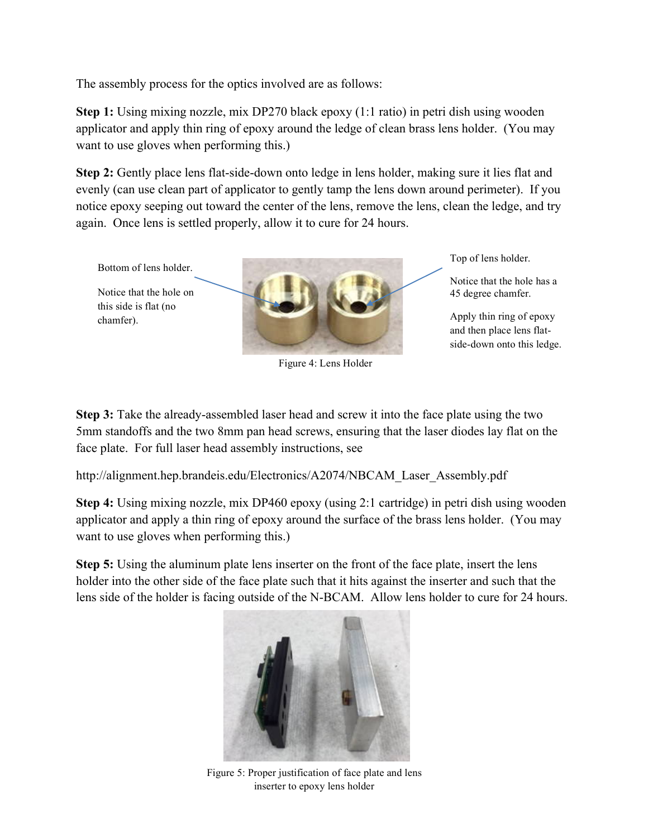The assembly process for the optics involved are as follows:

**Step 1:** Using mixing nozzle, mix DP270 black epoxy (1:1 ratio) in petri dish using wooden applicator and apply thin ring of epoxy around the ledge of clean brass lens holder. (You may want to use gloves when performing this.)

**Step 2:** Gently place lens flat-side-down onto ledge in lens holder, making sure it lies flat and evenly (can use clean part of applicator to gently tamp the lens down around perimeter). If you notice epoxy seeping out toward the center of the lens, remove the lens, clean the ledge, and try again. Once lens is settled properly, allow it to cure for 24 hours.



**Step 3:** Take the already-assembled laser head and screw it into the face plate using the two 5mm standoffs and the two 8mm pan head screws, ensuring that the laser diodes lay flat on the face plate. For full laser head assembly instructions, see

http://alignment.hep.brandeis.edu/Electronics/A2074/NBCAM\_Laser\_Assembly.pdf

**Step 4:** Using mixing nozzle, mix DP460 epoxy (using 2:1 cartridge) in petri dish using wooden applicator and apply a thin ring of epoxy around the surface of the brass lens holder. (You may want to use gloves when performing this.)

**Step 5:** Using the aluminum plate lens inserter on the front of the face plate, insert the lens holder into the other side of the face plate such that it hits against the inserter and such that the lens side of the holder is facing outside of the N-BCAM. Allow lens holder to cure for 24 hours.



Figure 5: Proper justification of face plate and lens inserter to epoxy lens holder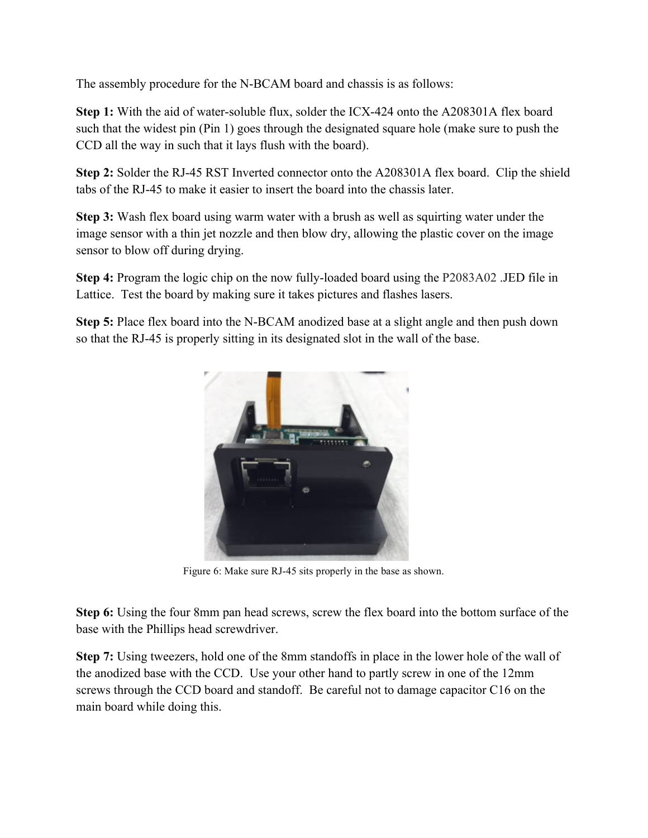The assembly procedure for the N-BCAM board and chassis is as follows:

**Step 1:** With the aid of water-soluble flux, solder the ICX-424 onto the A208301A flex board such that the widest pin (Pin 1) goes through the designated square hole (make sure to push the CCD all the way in such that it lays flush with the board).

**Step 2:** Solder the RJ-45 RST Inverted connector onto the A208301A flex board. Clip the shield tabs of the RJ-45 to make it easier to insert the board into the chassis later.

**Step 3:** Wash flex board using warm water with a brush as well as squirting water under the image sensor with a thin jet nozzle and then blow dry, allowing the plastic cover on the image sensor to blow off during drying.

**Step 4:** Program the logic chip on the now fully-loaded board using the P2083A02 .JED file in Lattice. Test the board by making sure it takes pictures and flashes lasers.

**Step 5:** Place flex board into the N-BCAM anodized base at a slight angle and then push down so that the RJ-45 is properly sitting in its designated slot in the wall of the base.



Figure 6: Make sure RJ-45 sits properly in the base as shown.

**Step 6:** Using the four 8mm pan head screws, screw the flex board into the bottom surface of the base with the Phillips head screwdriver.

**Step 7:** Using tweezers, hold one of the 8mm standoffs in place in the lower hole of the wall of the anodized base with the CCD. Use your other hand to partly screw in one of the 12mm screws through the CCD board and standoff. Be careful not to damage capacitor C16 on the main board while doing this.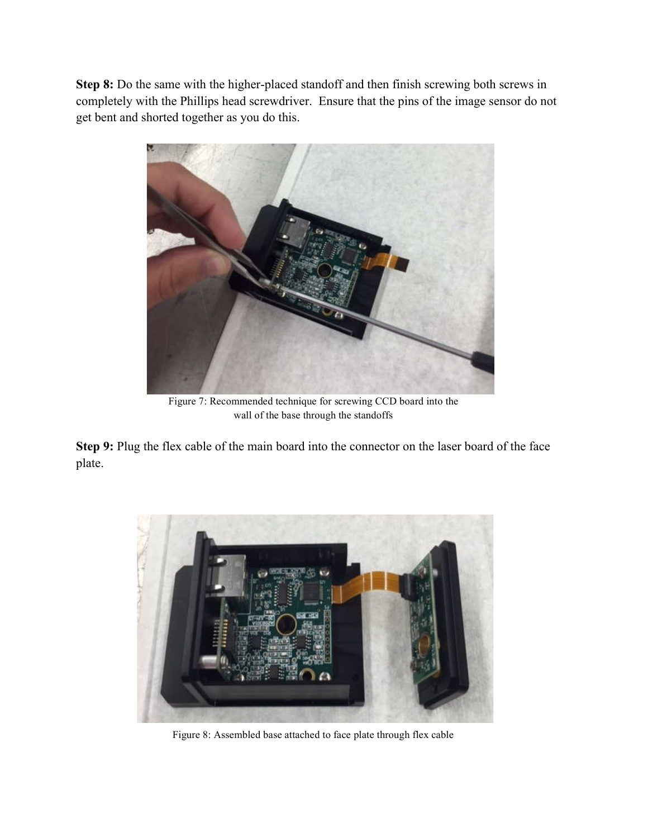**Step 8:** Do the same with the higher-placed standoff and then finish screwing both screws in completely with the Phillips head screwdriver. Ensure that the pins of the image sensor do not get bent and shorted together as you do this.



Figure 7: Recommended technique for screwing CCD board into the wall of the base through the standoffs

**Step 9:** Plug the flex cable of the main board into the connector on the laser board of the face plate.



Figure 8: Assembled base attached to face plate through flex cable